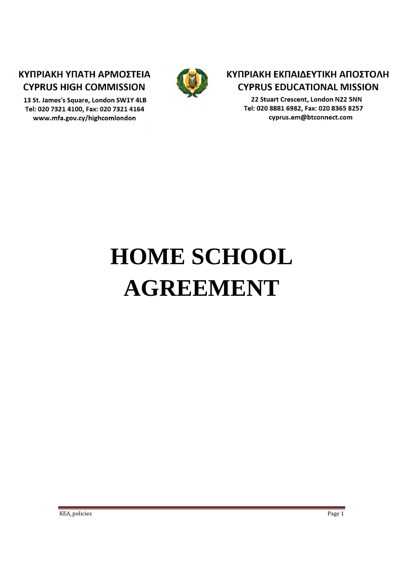## ΚΥΠΡΙΑΚΗ ΥΠΑΤΗ ΑΡΜΟΣΤΕΙΑ **CYPRUS HIGH COMMISSION**

13 St. James's Square, London SW1Y 4LB Tel: 020 7321 4100, Fax: 020 7321 4164 www.mfa.gov.cy/highcomlondon



## ΚΥΠΡΙΑΚΗ ΕΚΠΑΙΔΕΥΤΙΚΗ ΑΠΟΣΤΟΛΗ **CYPRUS EDUCATIONAL MISSION**

22 Stuart Crescent, London N22 5NN Tel: 020 8881 6982, Fax: 020 8365 8257 cyprus.em@btconnect.com

# **HOME SCHOOL AGREEMENT**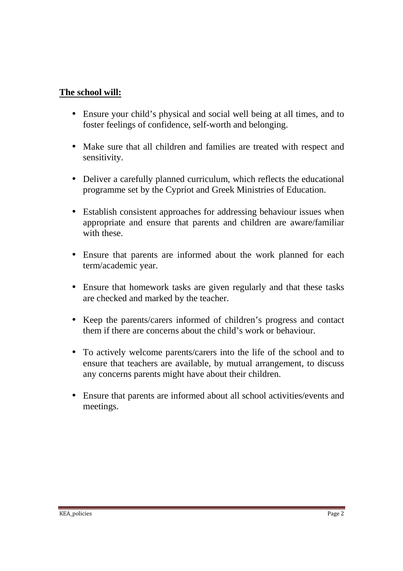#### **The school will:**

- Ensure your child's physical and social well being at all times, and to foster feelings of confidence, self-worth and belonging.
- Make sure that all children and families are treated with respect and sensitivity.
- Deliver a carefully planned curriculum, which reflects the educational programme set by the Cypriot and Greek Ministries of Education.
- Establish consistent approaches for addressing behaviour issues when appropriate and ensure that parents and children are aware/familiar with these.
- Ensure that parents are informed about the work planned for each term/academic year.
- Ensure that homework tasks are given regularly and that these tasks are checked and marked by the teacher.
- Keep the parents/carers informed of children's progress and contact them if there are concerns about the child's work or behaviour.
- To actively welcome parents/carers into the life of the school and to ensure that teachers are available, by mutual arrangement, to discuss any concerns parents might have about their children.
- Ensure that parents are informed about all school activities/events and meetings.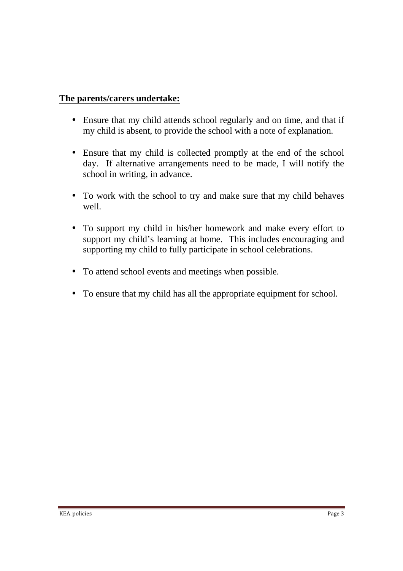#### **The parents/carers undertake:**

- Ensure that my child attends school regularly and on time, and that if my child is absent, to provide the school with a note of explanation.
- Ensure that my child is collected promptly at the end of the school day. If alternative arrangements need to be made, I will notify the school in writing, in advance.
- To work with the school to try and make sure that my child behaves well.
- To support my child in his/her homework and make every effort to support my child's learning at home. This includes encouraging and supporting my child to fully participate in school celebrations.
- To attend school events and meetings when possible.
- To ensure that my child has all the appropriate equipment for school.